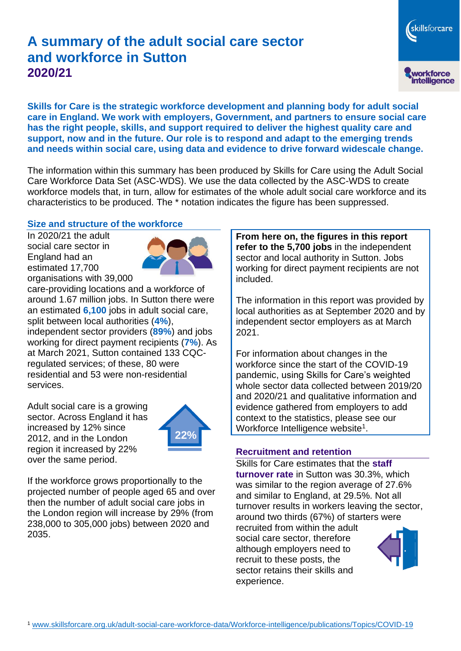# **A summary of the adult social care sector and workforce in Sutton 2020/21**

skillsforcare workforce<br>intelligence

**Skills for Care is the strategic workforce development and planning body for adult social care in England. We work with employers, Government, and partners to ensure social care has the right people, skills, and support required to deliver the highest quality care and support, now and in the future. Our role is to respond and adapt to the emerging trends and needs within social care, using data and evidence to drive forward widescale change.**

The information within this summary has been produced by Skills for Care using the Adult Social Care Workforce Data Set (ASC-WDS). We use the data collected by the ASC-WDS to create workforce models that, in turn, allow for estimates of the whole adult social care workforce and its characteristics to be produced. The \* notation indicates the figure has been suppressed.

#### **Size and structure of the workforce**

In 2020/21 the adult social care sector in England had an estimated 17,700 organisations with 39,000



care-providing locations and a workforce of around 1.67 million jobs. In Sutton there were an estimated **6,100** jobs in adult social care, split between local authorities (**4%**), independent sector providers (**89%**) and jobs working for direct payment recipients (**7%**). As at March 2021, Sutton contained 133 CQCregulated services; of these, 80 were residential and 53 were non-residential services.

Adult social care is a growing sector. Across England it has increased by 12% since 2012, and in the London region it increased by 22% over the same period.



If the workforce grows proportionally to the projected number of people aged 65 and over then the number of adult social care jobs in the London region will increase by 29% (from 238,000 to 305,000 jobs) between 2020 and 2035.

**From here on, the figures in this report refer to the 5,700 jobs** in the independent sector and local authority in Sutton. Jobs working for direct payment recipients are not included.

The information in this report was provided by local authorities as at September 2020 and by independent sector employers as at March 2021.

For information about changes in the workforce since the start of the COVID-19 pandemic, using Skills for Care's weighted whole sector data collected between 2019/20 and 2020/21 and qualitative information and evidence gathered from employers to add context to the statistics, please see our Workforce Intelligence website<sup>1</sup>.

#### **Recruitment and retention**

Skills for Care estimates that the **staff turnover rate** in Sutton was 30.3%, which was similar to the region average of 27.6% and similar to England, at 29.5%. Not all turnover results in workers leaving the sector, around two thirds (67%) of starters were recruited from within the adult social care sector, therefore although employers need to recruit to these posts, the sector retains their skills and experience.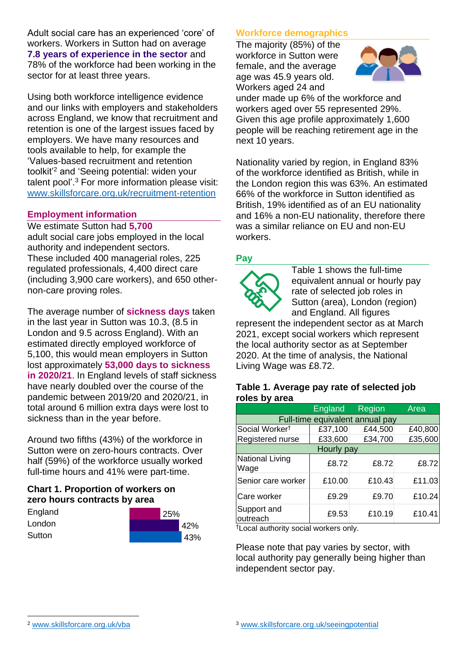Adult social care has an experienced 'core' of workers. Workers in Sutton had on average **7.8 years of experience in the sector** and 78% of the workforce had been working in the sector for at least three years.

Using both workforce intelligence evidence and our links with employers and stakeholders across England, we know that recruitment and retention is one of the largest issues faced by employers. We have many resources and tools available to help, for example the 'Values-based recruitment and retention toolkit'<sup>2</sup> and 'Seeing potential: widen your talent pool'. <sup>3</sup> For more information please visit: [www.skillsforcare.org.uk/recruitment-retention](http://www.skillsforcare.org.uk/recruitment-retention)

#### **Employment information**

We estimate Sutton had **5,700** adult social care jobs employed in the local authority and independent sectors. These included 400 managerial roles, 225 regulated professionals, 4,400 direct care (including 3,900 care workers), and 650 othernon-care proving roles.

The average number of **sickness days** taken in the last year in Sutton was 10.3, (8.5 in London and 9.5 across England). With an estimated directly employed workforce of 5,100, this would mean employers in Sutton lost approximately **53,000 days to sickness in 2020/21**. In England levels of staff sickness have nearly doubled over the course of the pandemic between 2019/20 and 2020/21, in total around 6 million extra days were lost to sickness than in the year before.

Around two fifths (43%) of the workforce in Sutton were on zero-hours contracts. Over half (59%) of the workforce usually worked full-time hours and 41% were part-time.

# **Chart 1. Proportion of workers on zero hours contracts by area**

| England | 25% |  |
|---------|-----|--|
| London  | 42% |  |
| Sutton  | 43% |  |

# **Workforce demographics**

The majority (85%) of the workforce in Sutton were female, and the average age was 45.9 years old. Workers aged 24 and



under made up 6% of the workforce and workers aged over 55 represented 29%. Given this age profile approximately 1,600 people will be reaching retirement age in the next 10 years.

Nationality varied by region, in England 83% of the workforce identified as British, while in the London region this was 63%. An estimated 66% of the workforce in Sutton identified as British, 19% identified as of an EU nationality and 16% a non-EU nationality, therefore there was a similar reliance on EU and non-EU workers.

# **Pay**



Table 1 shows the full-time equivalent annual or hourly pay rate of selected job roles in Sutton (area), London (region) and England. All figures

represent the independent sector as at March 2021, except social workers which represent the local authority sector as at September 2020. At the time of analysis, the National Living Wage was £8.72.

#### **Table 1. Average pay rate of selected job roles by area**

|                                 | <b>England</b> | <b>Region</b> | Area    |
|---------------------------------|----------------|---------------|---------|
| Full-time equivalent annual pay |                |               |         |
| Social Worker <sup>t</sup>      | £37,100        | £44,500       | £40,800 |
| Registered nurse                | £33,600        | £34,700       | £35,600 |
| Hourly pay                      |                |               |         |
| National Living<br>Wage         | £8.72          | £8.72         | £8.72   |
| Senior care worker              | £10.00         | £10.43        | £11.03  |
| Care worker                     | £9.29          | £9.70         | £10.24  |
| Support and<br>outreach         | £9.53          | £10.19        | £10.41  |

†Local authority social workers only.

Please note that pay varies by sector, with local authority pay generally being higher than independent sector pay.